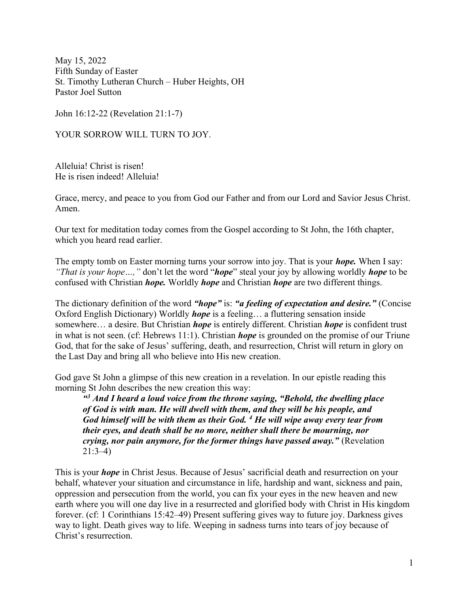May 15, 2022 Fifth Sunday of Easter St. Timothy Lutheran Church – Huber Heights, OH Pastor Joel Sutton

John 16:12-22 (Revelation 21:1-7)

YOUR SORROW WILL TURN TO JOY.

Alleluia! Christ is risen! He is risen indeed! Alleluia!

Grace, mercy, and peace to you from God our Father and from our Lord and Savior Jesus Christ. Amen.

Our text for meditation today comes from the Gospel according to St John, the 16th chapter, which you heard read earlier.

The empty tomb on Easter morning turns your sorrow into joy. That is your *hope*. When I say: "That is your hope...," don't let the word "**hope**" steal your joy by allowing worldly **hope** to be confused with Christian *hope*. Worldly *hope* and Christian *hope* are two different things.

The dictionary definition of the word "hope" is: "a feeling of expectation and desire." (Concise Oxford English Dictionary) Worldly *hope* is a feeling... a fluttering sensation inside somewhere… a desire. But Christian *hope* is entirely different. Christian *hope* is confident trust in what is not seen. (cf: Hebrews 11:1). Christian *hope* is grounded on the promise of our Triune God, that for the sake of Jesus' suffering, death, and resurrection, Christ will return in glory on the Last Day and bring all who believe into His new creation.

God gave St John a glimpse of this new creation in a revelation. In our epistle reading this morning St John describes the new creation this way:

 $43$  And I heard a loud voice from the throne saying, "Behold, the dwelling place of God is with man. He will dwell with them, and they will be his people, and God himself will be with them as their God.  $<sup>4</sup>$  He will wipe away every tear from</sup> their eyes, and death shall be no more, neither shall there be mourning, nor crying, nor pain anymore, for the former things have passed away." (Revelation 21:3–4)

This is your *hope* in Christ Jesus. Because of Jesus' sacrificial death and resurrection on your behalf, whatever your situation and circumstance in life, hardship and want, sickness and pain, oppression and persecution from the world, you can fix your eyes in the new heaven and new earth where you will one day live in a resurrected and glorified body with Christ in His kingdom forever. (cf: 1 Corinthians 15:42–49) Present suffering gives way to future joy. Darkness gives way to light. Death gives way to life. Weeping in sadness turns into tears of joy because of Christ's resurrection.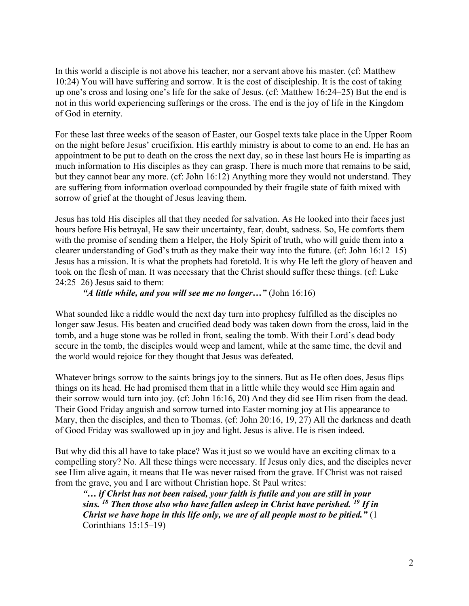In this world a disciple is not above his teacher, nor a servant above his master. (cf: Matthew 10:24) You will have suffering and sorrow. It is the cost of discipleship. It is the cost of taking up one's cross and losing one's life for the sake of Jesus. (cf: Matthew 16:24–25) But the end is not in this world experiencing sufferings or the cross. The end is the joy of life in the Kingdom of God in eternity.

For these last three weeks of the season of Easter, our Gospel texts take place in the Upper Room on the night before Jesus' crucifixion. His earthly ministry is about to come to an end. He has an appointment to be put to death on the cross the next day, so in these last hours He is imparting as much information to His disciples as they can grasp. There is much more that remains to be said, but they cannot bear any more. (cf: John 16:12) Anything more they would not understand. They are suffering from information overload compounded by their fragile state of faith mixed with sorrow of grief at the thought of Jesus leaving them.

Jesus has told His disciples all that they needed for salvation. As He looked into their faces just hours before His betrayal, He saw their uncertainty, fear, doubt, sadness. So, He comforts them with the promise of sending them a Helper, the Holy Spirit of truth, who will guide them into a clearer understanding of God's truth as they make their way into the future. (cf: John 16:12–15) Jesus has a mission. It is what the prophets had foretold. It is why He left the glory of heaven and took on the flesh of man. It was necessary that the Christ should suffer these things. (cf: Luke 24:25–26) Jesus said to them:

## "A little while, and you will see me no longer..." (John  $16:16$ )

What sounded like a riddle would the next day turn into prophesy fulfilled as the disciples no longer saw Jesus. His beaten and crucified dead body was taken down from the cross, laid in the tomb, and a huge stone was be rolled in front, sealing the tomb. With their Lord's dead body secure in the tomb, the disciples would weep and lament, while at the same time, the devil and the world would rejoice for they thought that Jesus was defeated.

Whatever brings sorrow to the saints brings joy to the sinners. But as He often does, Jesus flips things on its head. He had promised them that in a little while they would see Him again and their sorrow would turn into joy. (cf: John 16:16, 20) And they did see Him risen from the dead. Their Good Friday anguish and sorrow turned into Easter morning joy at His appearance to Mary, then the disciples, and then to Thomas. (cf: John 20:16, 19, 27) All the darkness and death of Good Friday was swallowed up in joy and light. Jesus is alive. He is risen indeed.

But why did this all have to take place? Was it just so we would have an exciting climax to a compelling story? No. All these things were necessary. If Jesus only dies, and the disciples never see Him alive again, it means that He was never raised from the grave. If Christ was not raised from the grave, you and I are without Christian hope. St Paul writes:

"… if Christ has not been raised, your faith is futile and you are still in your sins.  $^{18}$  Then those also who have fallen asleep in Christ have perished.  $^{19}$  If in Christ we have hope in this life only, we are of all people most to be pitied."  $(1)$ Corinthians 15:15–19)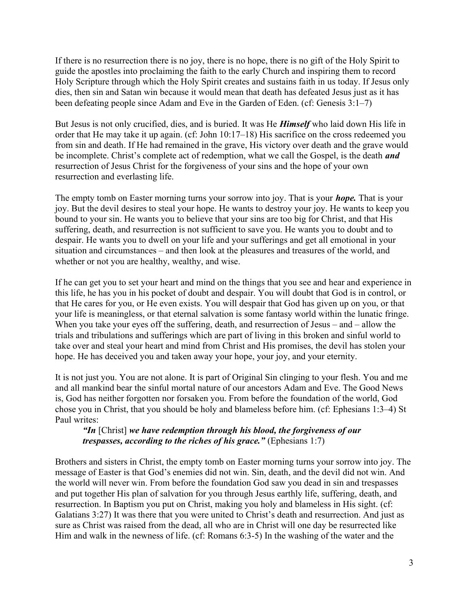If there is no resurrection there is no joy, there is no hope, there is no gift of the Holy Spirit to guide the apostles into proclaiming the faith to the early Church and inspiring them to record Holy Scripture through which the Holy Spirit creates and sustains faith in us today. If Jesus only dies, then sin and Satan win because it would mean that death has defeated Jesus just as it has been defeating people since Adam and Eve in the Garden of Eden. (cf: Genesis 3:1–7)

But Jesus is not only crucified, dies, and is buried. It was He **Himself** who laid down His life in order that He may take it up again. (cf: John 10:17–18) His sacrifice on the cross redeemed you from sin and death. If He had remained in the grave, His victory over death and the grave would be incomplete. Christ's complete act of redemption, what we call the Gospel, is the death *and* resurrection of Jesus Christ for the forgiveness of your sins and the hope of your own resurrection and everlasting life.

The empty tomb on Easter morning turns your sorrow into joy. That is your *hope*. That is your joy. But the devil desires to steal your hope. He wants to destroy your joy. He wants to keep you bound to your sin. He wants you to believe that your sins are too big for Christ, and that His suffering, death, and resurrection is not sufficient to save you. He wants you to doubt and to despair. He wants you to dwell on your life and your sufferings and get all emotional in your situation and circumstances – and then look at the pleasures and treasures of the world, and whether or not you are healthy, wealthy, and wise.

If he can get you to set your heart and mind on the things that you see and hear and experience in this life, he has you in his pocket of doubt and despair. You will doubt that God is in control, or that He cares for you, or He even exists. You will despair that God has given up on you, or that your life is meaningless, or that eternal salvation is some fantasy world within the lunatic fringe. When you take your eyes off the suffering, death, and resurrection of Jesus – and – allow the trials and tribulations and sufferings which are part of living in this broken and sinful world to take over and steal your heart and mind from Christ and His promises, the devil has stolen your hope. He has deceived you and taken away your hope, your joy, and your eternity.

It is not just you. You are not alone. It is part of Original Sin clinging to your flesh. You and me and all mankind bear the sinful mortal nature of our ancestors Adam and Eve. The Good News is, God has neither forgotten nor forsaken you. From before the foundation of the world, God chose you in Christ, that you should be holy and blameless before him. (cf: Ephesians 1:3–4) St Paul writes:

"In  $[Christ]$  we have redemption through his blood, the forgiveness of our trespasses, according to the riches of his grace." (Ephesians  $1:7$ )

Brothers and sisters in Christ, the empty tomb on Easter morning turns your sorrow into joy. The message of Easter is that God's enemies did not win. Sin, death, and the devil did not win. And the world will never win. From before the foundation God saw you dead in sin and trespasses and put together His plan of salvation for you through Jesus earthly life, suffering, death, and resurrection. In Baptism you put on Christ, making you holy and blameless in His sight. (cf: Galatians 3:27) It was there that you were united to Christ's death and resurrection. And just as sure as Christ was raised from the dead, all who are in Christ will one day be resurrected like Him and walk in the newness of life. (cf: Romans 6:3-5) In the washing of the water and the